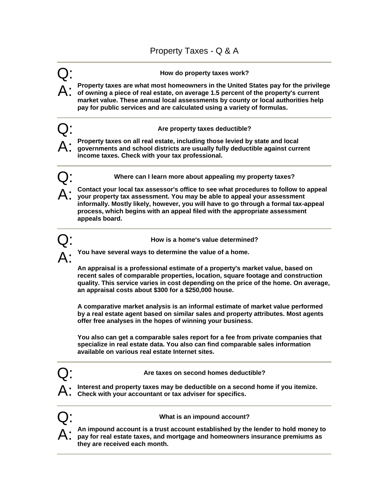

Q: **Are taxes on second homes deductible?** 

**Interest and property taxes may be deductible on a second home if you itemize. Check with your accountant or tax adviser for specifics.**



Q: **What is an impound account?** 

An impound account is a trust account established by the lender to hold money to **pay for real estate taxes, and mortgage and homeowners insurance premiums as they are received each month.**